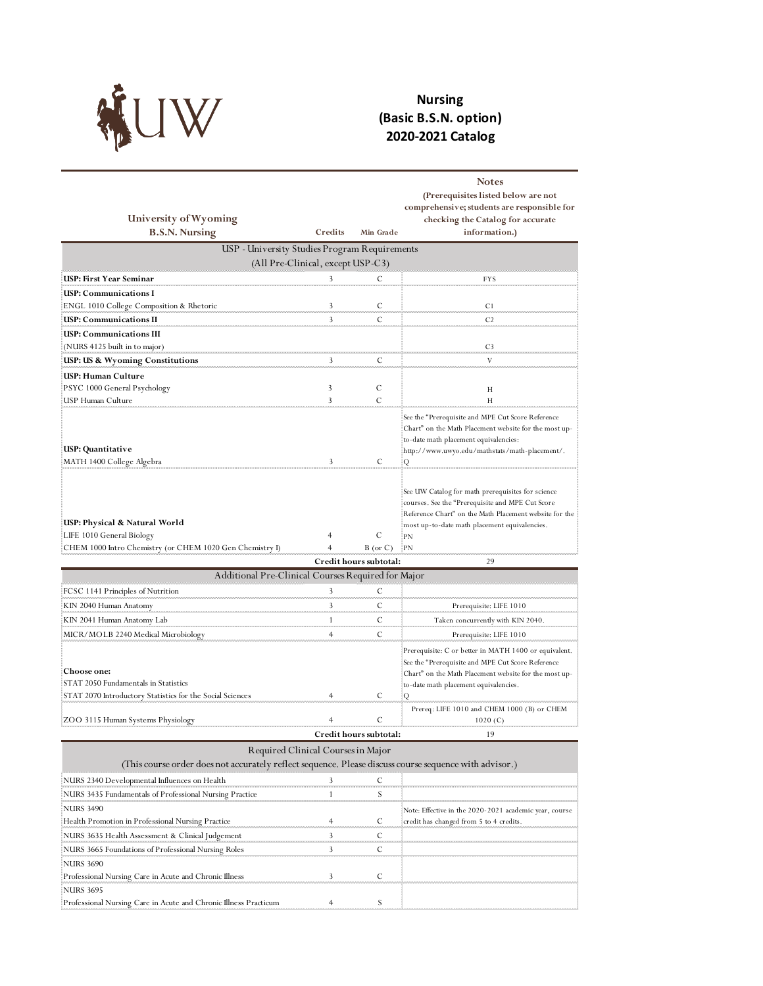

NURS 3690

NURS 3695

Professional Nursing Care in Acute and Chronic Illness 3 C

Professional Nursing Care in Acute and Chronic Illness Practicum 4 S

## **Nursing (Basic B.S.N. option) 2020-2021 Catalog**

| University of Wyoming<br><b>B.S.N. Nursing</b>                                                                                               | Credits                           | Min Grade              | <b>Notes</b><br>(Prerequisites listed below are not<br>comprehensive; students are responsible for<br>checking the Catalog for accurate<br>information.)                                                     |
|----------------------------------------------------------------------------------------------------------------------------------------------|-----------------------------------|------------------------|--------------------------------------------------------------------------------------------------------------------------------------------------------------------------------------------------------------|
| USP - University Studies Program Requirements                                                                                                | (All Pre-Clinical, except USP-C3) |                        |                                                                                                                                                                                                              |
| USP: First Year Seminar                                                                                                                      | 3                                 | С                      | FYS                                                                                                                                                                                                          |
| USP: Communications I                                                                                                                        |                                   |                        |                                                                                                                                                                                                              |
| ENGL 1010 College Composition & Rhetoric                                                                                                     | 3                                 | C                      | C1                                                                                                                                                                                                           |
| USP: Communications II                                                                                                                       | 3                                 | C                      | C <sub>2</sub>                                                                                                                                                                                               |
| USP: Communications III<br>(NURS 4125 built in to major)                                                                                     |                                   |                        | C <sub>3</sub>                                                                                                                                                                                               |
| USP: US & Wyoming Constitutions                                                                                                              | 3                                 | С                      | V                                                                                                                                                                                                            |
| USP: Human Culture<br>PSYC 1000 General Psychology!                                                                                          | 3                                 | С                      | Н                                                                                                                                                                                                            |
| USP Human Culture                                                                                                                            | 3                                 | С                      | Н<br>See the "Prerequisite and MPE Cut Score Reference<br>Chart" on the Math Placement website for the most up-<br>to-date math placement equivalencies:                                                     |
| USP: Quantitative                                                                                                                            |                                   |                        | ://www.uwyo.edu/mathstats/math-placement: [                                                                                                                                                                  |
| MATH 1400 College Algebra                                                                                                                    | 3                                 | C                      | Q                                                                                                                                                                                                            |
| USP: Physical & Natural World                                                                                                                |                                   |                        | See UW Catalog for math prerequisites for science<br>courses. See the "Prerequisite and MPE Cut Score"<br>Reference Chart" on the Math Placement website for the                                             |
| LIFE 1010 General Biology!                                                                                                                   | 4                                 | С                      | most up-to-date math placement equivalencies.<br>PN                                                                                                                                                          |
| CHEM 1000 Intro Chemistry (or CHEM 1020 Gen Chemistry I)                                                                                     | $\overline{4}$                    | $B$ (or $C$ )          | $P_N$                                                                                                                                                                                                        |
|                                                                                                                                              |                                   | Credit hours subtotal: | 29                                                                                                                                                                                                           |
| Additional Pre-Clinical Courses Required for Major                                                                                           |                                   |                        |                                                                                                                                                                                                              |
| FCSC 1141 Principles of Nutrition                                                                                                            | 3                                 | С                      |                                                                                                                                                                                                              |
| KIN 2040 Human Anatomy                                                                                                                       | 3                                 | С                      | Prerequisite: LIFE 1010                                                                                                                                                                                      |
| KIN 2041 Human Anatomy Lab                                                                                                                   | 1                                 | С                      | Taken concurrently with KIN 2040.                                                                                                                                                                            |
| MICR/MOLB 2240 Medical Microbiology                                                                                                          | 4                                 | С                      | Prerequisite: LIFE 1010                                                                                                                                                                                      |
| <b>Choose one:</b><br>STAT 2050 Fundamentals in Statistics                                                                                   |                                   |                        | Prerequisite: C or better in MATH 1400 or equivalent.<br>See the "Prerequisite and MPE Cut Score Reference<br>Chart" on the Math Placement website for the most up-<br>to-date math placement equivalencies. |
| STAT 2070 Introductory Statistics for the Social Sciences                                                                                    | 4                                 | C                      | Q                                                                                                                                                                                                            |
| ZOO 3115 Human Systems Physiology                                                                                                            | 4                                 | $\mathcal C$           | Prereq: LIFE 1010 and CHEM 1000 (B) or CHEM<br>1020(C)                                                                                                                                                       |
|                                                                                                                                              |                                   | Credit nours subtotal: |                                                                                                                                                                                                              |
| Required Clinical Courses in Major<br>(This course order does not accurately reflect sequence. Please discuss course sequence with advisor.) |                                   |                        |                                                                                                                                                                                                              |
| NURS 2340 Developmental Influences on Health                                                                                                 | $\overline{\mathbf{3}}$           | $\overline{C}$         |                                                                                                                                                                                                              |
| NURS 3435 Fundamentals of Professional Nursing Practice<br>NURS 3490                                                                         | $\mathbf{1}$                      | $\sum_{i=1}^{n}$       | Note: Effective in the 2020-2021 academic year, course                                                                                                                                                       |
| Health Promotion in Professional Nursing Practice                                                                                            | 4                                 | С                      | credit has changed from 5 to 4 credits.                                                                                                                                                                      |
| NURS 3635 Health Assessment & Clinical Judgement                                                                                             | 3                                 | С                      |                                                                                                                                                                                                              |
| NURS 3665 Foundations of Professional Nursing Roles                                                                                          | 3                                 | С                      |                                                                                                                                                                                                              |